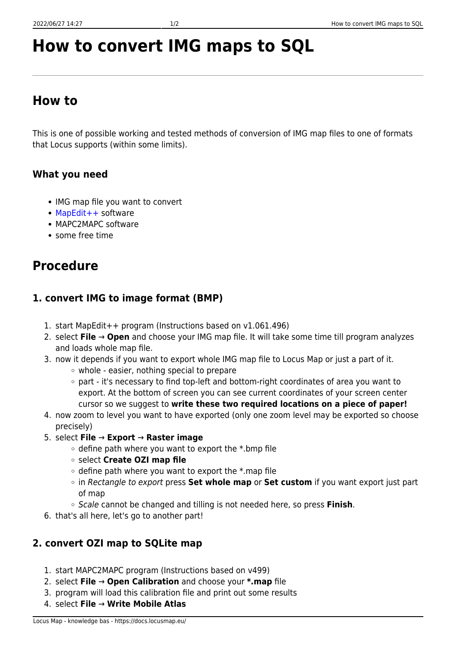#### 4. select **File** → **Write Mobile Atlas**

# **How to convert IMG maps to SQL**

# **How to**

This is one of possible working and tested methods of conversion of IMG map files to one of formats that Locus supports (within some limits).

### **What you need**

- IMG map file you want to convert
- [MapEdit++](http://gmeaddons.sourceforge.net/) software
- MAPC2MAPC software
- some free time

# **Procedure**

## **1. convert IMG to image format (BMP)**

- 1. start MapEdit++ program (Instructions based on v1.061.496)
- 2. select **File** → **Open** and choose your IMG map file. It will take some time till program analyzes and loads whole map file.
- 3. now it depends if you want to export whole IMG map file to Locus Map or just a part of it.
	- $\circ$  whole easier, nothing special to prepare
	- part it's necessary to find top-left and bottom-right coordinates of area you want to export. At the bottom of screen you can see current coordinates of your screen center cursor so we suggest to **write these two required locations on a piece of paper!**
- 4. now zoom to level you want to have exported (only one zoom level may be exported so choose precisely)
- 5. select **File** → **Export** → **Raster image**
	- $\circ$  define path where you want to export the \*.bmp file
	- select **Create OZI map file**
	- $\circ$  define path where you want to export the  $*$ .map file
	- in Rectangle to export press **Set whole map** or **Set custom** if you want export just part of map
	- Scale cannot be changed and tilling is not needed here, so press **Finish**.
- 6. that's all here, let's go to another part!

### **2. convert OZI map to SQLite map**

- 1. start MAPC2MAPC program (Instructions based on v499)
- 2. select **File** → **Open Calibration** and choose your **\*.map** file
- 3. program will load this calibration file and print out some results